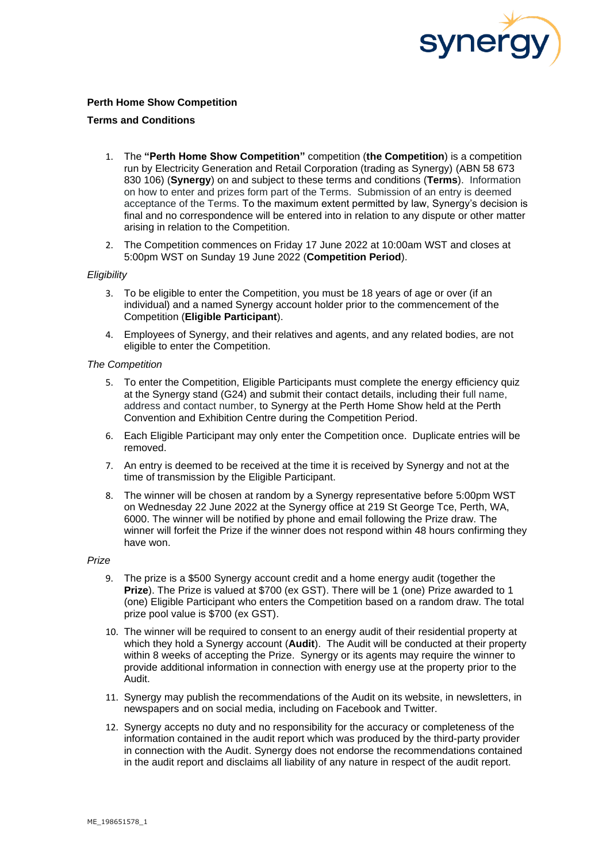

# **Perth Home Show Competition**

## **Terms and Conditions**

- 1. The **"Perth Home Show Competition"** competition (**the Competition**) is a competition run by Electricity Generation and Retail Corporation (trading as Synergy) (ABN 58 673 830 106) (**Synergy**) on and subject to these terms and conditions (**Terms**). Information on how to enter and prizes form part of the Terms. Submission of an entry is deemed acceptance of the Terms. To the maximum extent permitted by law, Synergy's decision is final and no correspondence will be entered into in relation to any dispute or other matter arising in relation to the Competition.
- 2. The Competition commences on Friday 17 June 2022 at 10:00am WST and closes at 5:00pm WST on Sunday 19 June 2022 (**Competition Period**).

## *Eligibility*

- 3. To be eligible to enter the Competition, you must be 18 years of age or over (if an individual) and a named Synergy account holder prior to the commencement of the Competition (**Eligible Participant**).
- 4. Employees of Synergy, and their relatives and agents, and any related bodies, are not eligible to enter the Competition.

#### *The Competition*

- 5. To enter the Competition, Eligible Participants must complete the energy efficiency quiz at the Synergy stand (G24) and submit their contact details, including their full name, address and contact number, to Synergy at the Perth Home Show held at the Perth Convention and Exhibition Centre during the Competition Period.
- 6. Each Eligible Participant may only enter the Competition once. Duplicate entries will be removed.
- 7. An entry is deemed to be received at the time it is received by Synergy and not at the time of transmission by the Eligible Participant.
- 8. The winner will be chosen at random by a Synergy representative before 5:00pm WST on Wednesday 22 June 2022 at the Synergy office at 219 St George Tce, Perth, WA, 6000. The winner will be notified by phone and email following the Prize draw. The winner will forfeit the Prize if the winner does not respond within 48 hours confirming they have won.

#### *Prize*

- 9. The prize is a \$500 Synergy account credit and a home energy audit (together the **Prize**). The Prize is valued at \$700 (ex GST). There will be 1 (one) Prize awarded to 1 (one) Eligible Participant who enters the Competition based on a random draw. The total prize pool value is \$700 (ex GST).
- 10. The winner will be required to consent to an energy audit of their residential property at which they hold a Synergy account (**Audit**). The Audit will be conducted at their property within 8 weeks of accepting the Prize. Synergy or its agents may require the winner to provide additional information in connection with energy use at the property prior to the Audit.
- 11. Synergy may publish the recommendations of the Audit on its website, in newsletters, in newspapers and on social media, including on Facebook and Twitter.
- 12. Synergy accepts no duty and no responsibility for the accuracy or completeness of the information contained in the audit report which was produced by the third-party provider in connection with the Audit. Synergy does not endorse the recommendations contained in the audit report and disclaims all liability of any nature in respect of the audit report.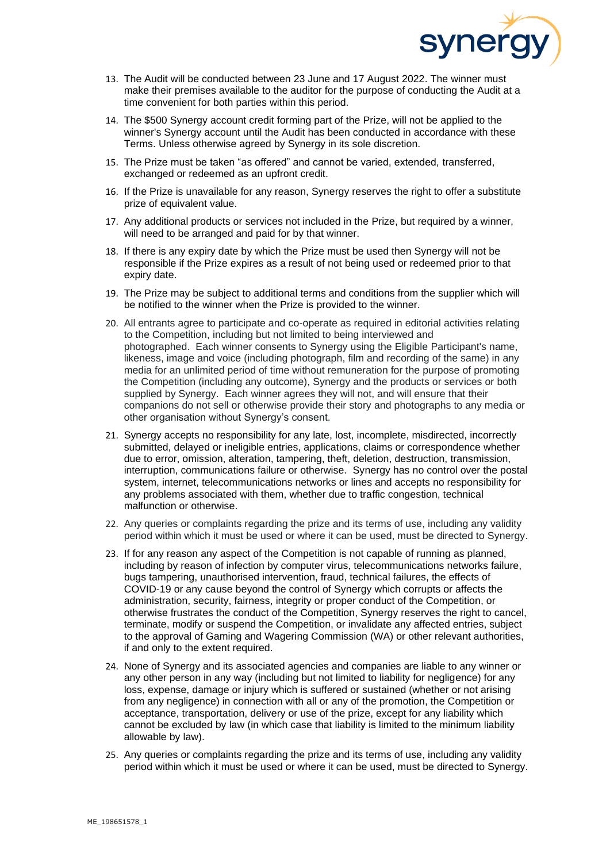

- 13. The Audit will be conducted between 23 June and 17 August 2022. The winner must make their premises available to the auditor for the purpose of conducting the Audit at a time convenient for both parties within this period.
- 14. The \$500 Synergy account credit forming part of the Prize, will not be applied to the winner's Synergy account until the Audit has been conducted in accordance with these Terms. Unless otherwise agreed by Synergy in its sole discretion.
- 15. The Prize must be taken "as offered" and cannot be varied, extended, transferred, exchanged or redeemed as an upfront credit.
- 16. If the Prize is unavailable for any reason, Synergy reserves the right to offer a substitute prize of equivalent value.
- 17. Any additional products or services not included in the Prize, but required by a winner, will need to be arranged and paid for by that winner.
- 18. If there is any expiry date by which the Prize must be used then Synergy will not be responsible if the Prize expires as a result of not being used or redeemed prior to that expiry date.
- 19. The Prize may be subject to additional terms and conditions from the supplier which will be notified to the winner when the Prize is provided to the winner.
- 20. All entrants agree to participate and co-operate as required in editorial activities relating to the Competition, including but not limited to being interviewed and photographed. Each winner consents to Synergy using the Eligible Participant's name, likeness, image and voice (including photograph, film and recording of the same) in any media for an unlimited period of time without remuneration for the purpose of promoting the Competition (including any outcome), Synergy and the products or services or both supplied by Synergy. Each winner agrees they will not, and will ensure that their companions do not sell or otherwise provide their story and photographs to any media or other organisation without Synergy's consent.
- 21. Synergy accepts no responsibility for any late, lost, incomplete, misdirected, incorrectly submitted, delayed or ineligible entries, applications, claims or correspondence whether due to error, omission, alteration, tampering, theft, deletion, destruction, transmission, interruption, communications failure or otherwise. Synergy has no control over the postal system, internet, telecommunications networks or lines and accepts no responsibility for any problems associated with them, whether due to traffic congestion, technical malfunction or otherwise.
- 22. Any queries or complaints regarding the prize and its terms of use, including any validity period within which it must be used or where it can be used, must be directed to Synergy.
- 23. If for any reason any aspect of the Competition is not capable of running as planned, including by reason of infection by computer virus, telecommunications networks failure, bugs tampering, unauthorised intervention, fraud, technical failures, the effects of COVID-19 or any cause beyond the control of Synergy which corrupts or affects the administration, security, fairness, integrity or proper conduct of the Competition, or otherwise frustrates the conduct of the Competition, Synergy reserves the right to cancel, terminate, modify or suspend the Competition, or invalidate any affected entries, subject to the approval of Gaming and Wagering Commission (WA) or other relevant authorities, if and only to the extent required.
- 24. None of Synergy and its associated agencies and companies are liable to any winner or any other person in any way (including but not limited to liability for negligence) for any loss, expense, damage or injury which is suffered or sustained (whether or not arising from any negligence) in connection with all or any of the promotion, the Competition or acceptance, transportation, delivery or use of the prize, except for any liability which cannot be excluded by law (in which case that liability is limited to the minimum liability allowable by law).
- 25. Any queries or complaints regarding the prize and its terms of use, including any validity period within which it must be used or where it can be used, must be directed to Synergy.